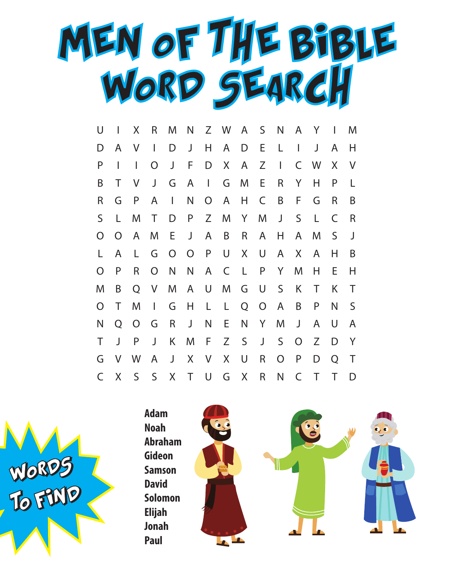

| U              | I      | X              | R              | M              | N              |                | Z W          | $\mathsf{A}$ | $S_{\perp}$    | $\mathsf{N}$   | A              | Y |   | M |
|----------------|--------|----------------|----------------|----------------|----------------|----------------|--------------|--------------|----------------|----------------|----------------|---|---|---|
| D              | A      | V              | $\mathbf{I}$   | D              | J              | H              | A            | D            | E,             | L              | $\mathsf{I}$   | J | A | Η |
| P              | I      | $\mathbf{I}$   | O              | J              | F              | D              | $X_{-}$      | A            | Z              | $\mathbf{I}$   | C              | W | X | V |
| B              | Τ      | V              | J              | G              | A              | $\mathbf{I}$   | G            | M            | E              | R              | Y              | H | P | L |
| R              | G      | P              | A              | $\mathbf{L}$   | N              | $\overline{O}$ | $\mathsf{A}$ | Н.           | C              | B              | F              | G | R | B |
| S              | L.     | M              | T              | D              | P              | Z              | M            | Y            | M              | J              | S              | L | C | R |
| O              | O      | A              | M              | E              | J              | A              | B            | R.           | A              | H              | A              | M | S | J |
| L              | A      | L              | G              | $\overline{O}$ | $\overline{O}$ | P              | U            | X            | U              | A              | X              | A | Η | B |
| O              | P      | R              | $\overline{O}$ | $\mathsf{N}$   | N              | A              | $\mathsf{C}$ | $\mathsf{L}$ | P              | Y              | M              | Н | E | Н |
| M              | B      | Q              | V              | M              | $\mathsf{A}$   | U              | M            | G            | U              | S              | K              | Τ | Κ | Τ |
| $\overline{O}$ | Τ      | M              | $\mathbf{I}$   | G              | Н              | $\mathsf{L}$   | $\mathsf{L}$ | Q            | $\overline{O}$ | $\mathsf{A}$   | B              | P | N | S |
| N              | Q      | $\overline{O}$ | G              | R              | J              | N              | E.           | N            | Y              | M              | J              | A | U | A |
| Τ              | J      | P              | J              | K              | M              | F.             | Z            | $\mathsf{S}$ | $\mathsf J$    | $\mathsf{S}$   | $\overline{O}$ | Z | D | Y |
| G              | $\vee$ | W              | A              | J              | X              | V.             | X            | U            | R              | $\overline{O}$ | P              | D | O | Τ |
| $\mathsf{C}$   | $\chi$ | $\mathsf{S}$   | $\mathsf{S}$   | X              | $\top$         | $\bigcup$      | G            | X            | R              | $\mathsf{N}$   | C              | Τ | Τ | D |

 $\mathbf{r}$ 



**Noah Abraham Gideon Samson David Solomon Elijah Jonah Paul**

**Adam**